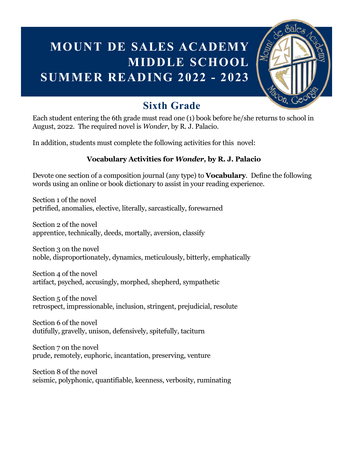## **MOUNT DE SALES ACADEMY MIDDLE SCHOOL SUMMER READING 2022 - 2023**



### **Sixth Grade**

Each student entering the 6th grade must read one (1) book before he/she returns to school in August, 2022. The required novel is *Wonder*, by R. J. Palacio.

In addition, students must complete the following activities for this novel:

#### **Vocabulary Activities for** *Wonder,* **by R. J. Palacio**

Devote one section of a composition journal (any type) to **Vocabulary**. Define the following words using an online or book dictionary to assist in your reading experience.

Section 1 of the novel petrified, anomalies, elective, literally, sarcastically, forewarned

Section 2 of the novel apprentice, technically, deeds, mortally, aversion, classify

Section 3 on the novel noble, disproportionately, dynamics, meticulously, bitterly, emphatically

Section 4 of the novel artifact, psyched, accusingly, morphed, shepherd, sympathetic

Section 5 of the novel retrospect, impressionable, inclusion, stringent, prejudicial, resolute

Section 6 of the novel dutifully, gravelly, unison, defensively, spitefully, taciturn

Section 7 on the novel prude, remotely, euphoric, incantation, preserving, venture

Section 8 of the novel seismic, polyphonic, quantifiable, keenness, verbosity, ruminating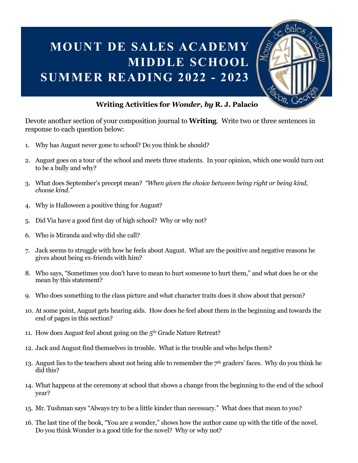## **MOUNT DE SALES ACADEMY MIDDLE SCHOOL SUMMER READING 2022 - 2023**



#### **Writing Activities for** *Wonder, by* **R. J. Palacio**

Devote another section of your composition journal to **Writing**. Write two or three sentences in response to each question below:

- 1. Why has August never gone to school? Do you think he should?
- 2. August goes on a tour of the school and meets three students. In your opinion, which one would turn out to be a bully and why?
- 3. What does September's precept mean? *"When given the choice between being right or being kind, choose kind."*
- 4. Why is Halloween a positive thing for August?
- 5. Did Via have a good first day of high school? Why or why not?
- 6. Who is Miranda and why did she call?
- 7. Jack seems to struggle with how he feels about August. What are the positive and negative reasons he gives about being ex-friends with him?
- 8. Who says, "Sometimes you don't have to mean to hurt someone to hurt them," and what does he or she mean by this statement?
- 9. Who does something to the class picture and what character traits does it show about that person?
- 10. At some point, August gets hearing aids. How does he feel about them in the beginning and towards the end of pages in this section?
- 11. How does August feel about going on the 5th Grade Nature Retreat?
- 12. Jack and August find themselves in trouble. What is the trouble and who helps them?
- 13. August lies to the teachers about not being able to remember the 7<sup>th</sup> graders' faces. Why do you think he did this?
- 14. What happens at the ceremony at school that shows a change from the beginning to the end of the school year?
- 15. Mr. Tushman says "Always try to be a little kinder than necessary." What does that mean to you?
- 16. The last tine of the book, "You are a wonder," shows how the author came up with the title of the novel. Do you think Wonder is a good title for the novel? Why or why not?